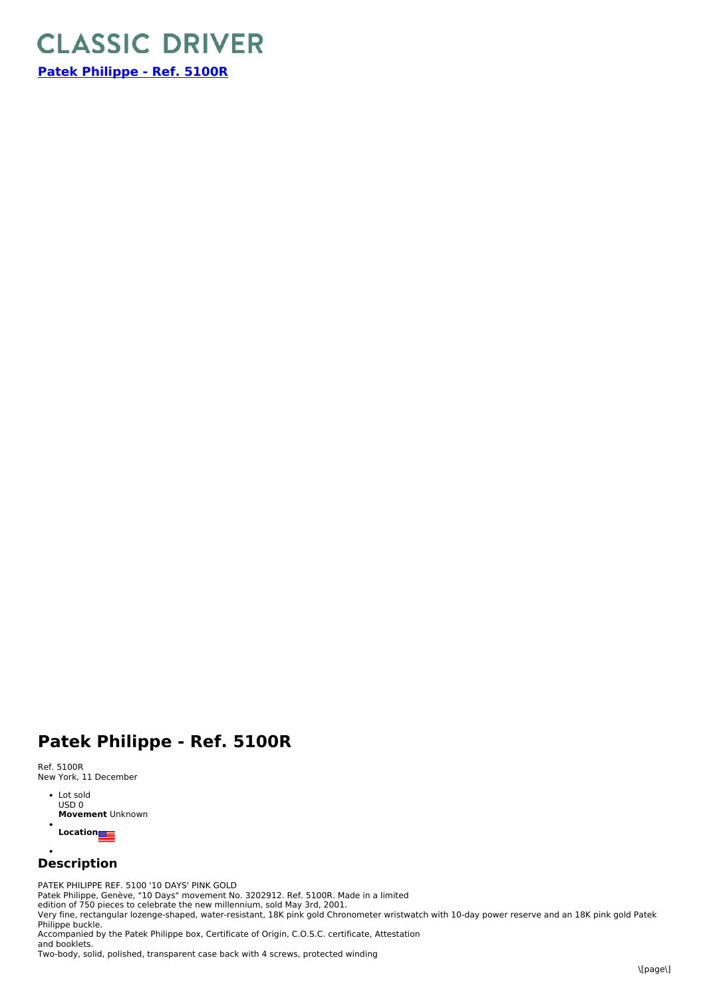

**Patek [Philippe](https://www.classicdriver.com/en/watch/patek-philippe/271577) - Ref. 5100R**

## **Patek Philippe - Ref. 5100R**

Ref. 5100R New York, 11 December

> Lot sold USD 0 **Movement** Unknown  $\ddot{\phantom{a}}$

**Location**

## $\bullet$ **Description**

PATEK PHILIPPE REF. 5100 '10 DAYS' PINK GOLD Patek Philippe, Genève, "10 Days" movement No. 3202912. Ref. 5100R. Made in a limited edition of 750 pieces to celebrate the new millennium, sold May 3rd, 2001. Very fine, rectangular lozenge-shaped, water-resistant, 18K pink gold Chronometer wristwatch with 10-day power reserve and an 18K pink gold Patek Philippe buckle. Accompanied by the Patek Philippe box, Certificate of Origin, C.O.S.C. certificate, Attestation and booklets.

Two-body, solid, polished, transparent case back with 4 screws, protected winding